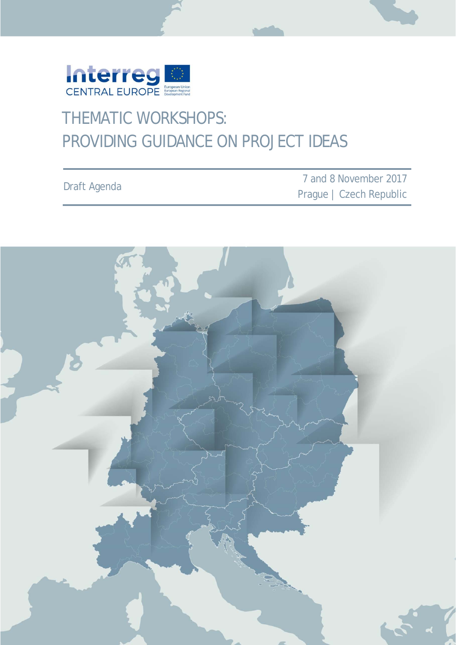

## THEMATIC WORKSHOPS: PROVIDING GUIDANCE ON PROJECT IDEAS

|                     | 7 and 8 November 2017   |
|---------------------|-------------------------|
| <b>Draft Agenda</b> | Prague   Czech Republic |

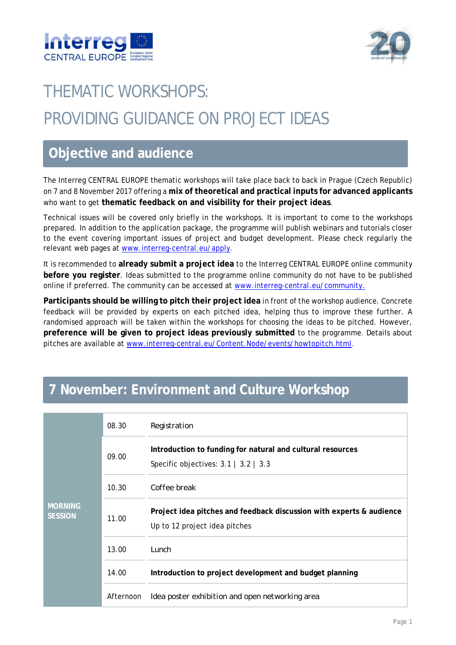



# THEMATIC WORKSHOPS: PROVIDING GUIDANCE ON PROJECT IDEAS

#### **Objective and audience**

The Interreg CENTRAL EUROPE thematic workshops will take place back to back in Prague (Czech Republic) on 7 and 8 November 2017 offering a **mix of theoretical and practical inputs for advanced applicants**  who want to get **thematic feedback on and visibility for their project ideas**.

Technical issues will be covered only briefly in the workshops. It is important to come to the workshops prepared. In addition to the application package, the programme will publish webinars and tutorials closer to the event covering important issues of project and budget development. Please check regularly the relevant web pages at www.interreg-central.eu/apply.

It is recommended to **already submit a project idea** to the Interreg CENTRAL EUROPE online community **before you register**. Ideas submitted to the programme online community do not have to be published online if preferred. The community can be accessed at www.interreg-central.eu/community.

**Participants should be willing to pitch their project idea** in front of the workshop audience. Concrete feedback will be provided by experts on each pitched idea, helping thus to improve these further. A randomised approach will be taken within the workshops for choosing the ideas to be pitched. However, **preference will be given to project ideas previously submitted** to the programme. Details about pitches are available at www.interreg-central.eu/Content.Node/events/howtopitch.html.

### **7 November: Environment and Culture Workshop**

| <b>MORNING</b><br><b>SESSION</b> | 08.30     | Registration                                                                                             |
|----------------------------------|-----------|----------------------------------------------------------------------------------------------------------|
|                                  | 09.00     | Introduction to funding for natural and cultural resources<br>Specific objectives: $3.1$   $3.2$   $3.3$ |
|                                  | 10.30     | Coffee break                                                                                             |
|                                  | 11.00     | Project idea pitches and feedback discussion with experts & audience<br>Up to 12 project idea pitches    |
|                                  | 13.00     | Lunch                                                                                                    |
|                                  | 14.00     | Introduction to project development and budget planning                                                  |
|                                  | Afternoon | Idea poster exhibition and open networking area                                                          |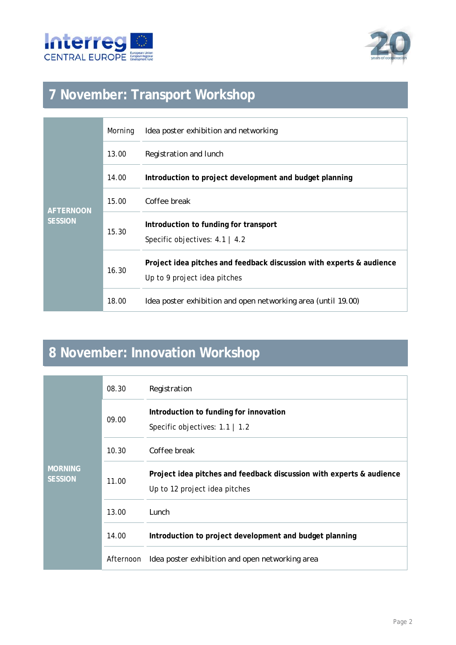



### **7 November: Transport Workshop**

| <b>AFTERNOON</b><br><b>SESSION</b> | Morning | Idea poster exhibition and networking                                                                |
|------------------------------------|---------|------------------------------------------------------------------------------------------------------|
|                                    | 13.00   | Registration and lunch                                                                               |
|                                    | 14.00   | Introduction to project development and budget planning                                              |
|                                    | 15.00   | Coffee break                                                                                         |
|                                    | 15.30   | Introduction to funding for transport<br>Specific objectives: $4.1 \mid 4.2$                         |
|                                    | 16.30   | Project idea pitches and feedback discussion with experts & audience<br>Up to 9 project idea pitches |
|                                    | 18.00   | Idea poster exhibition and open networking area (until 19.00)                                        |

### **8 November: Innovation Workshop**

| <b>MORNING</b><br><b>SESSION</b> | 08.30     | Registration                                                                                          |
|----------------------------------|-----------|-------------------------------------------------------------------------------------------------------|
|                                  | 09.00     | Introduction to funding for innovation<br>Specific objectives: $1.1$   $1.2$                          |
|                                  | 10.30     | Coffee break                                                                                          |
|                                  | 11.00     | Project idea pitches and feedback discussion with experts & audience<br>Up to 12 project idea pitches |
|                                  | 13.00     | Lunch                                                                                                 |
|                                  | 14.00     | Introduction to project development and budget planning                                               |
|                                  | Afternoon | Idea poster exhibition and open networking area                                                       |